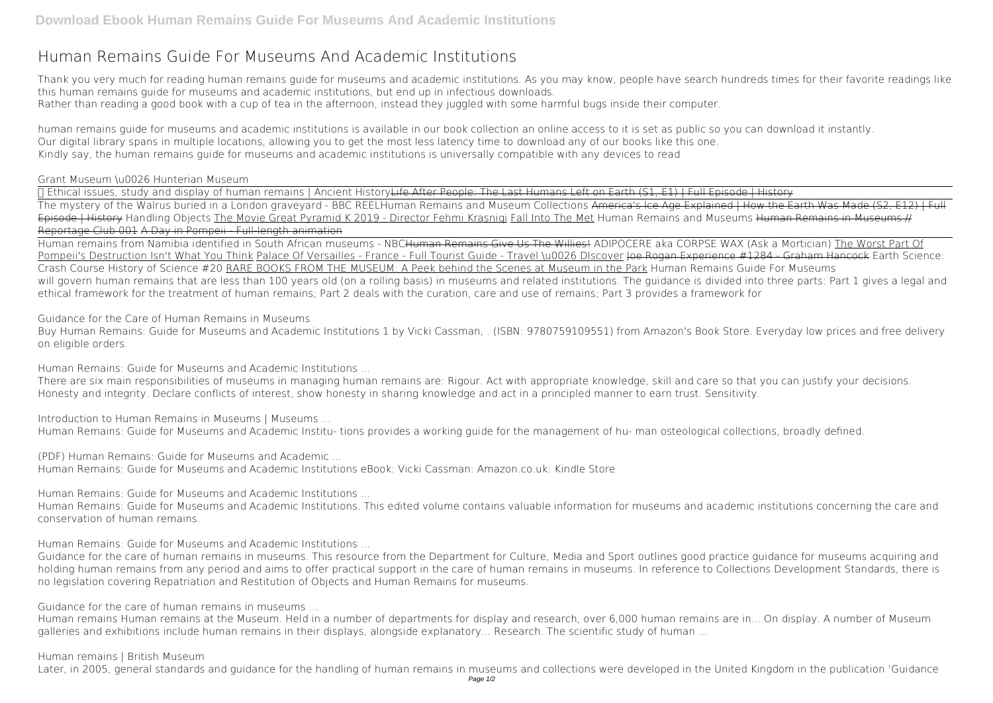## **Human Remains Guide For Museums And Academic Institutions**

Thank you very much for reading **human remains guide for museums and academic institutions**. As you may know, people have search hundreds times for their favorite readings like this human remains guide for museums and academic institutions, but end up in infectious downloads. Rather than reading a good book with a cup of tea in the afternoon, instead they juggled with some harmful bugs inside their computer.

human remains guide for museums and academic institutions is available in our book collection an online access to it is set as public so you can download it instantly. Our digital library spans in multiple locations, allowing you to get the most less latency time to download any of our books like this one. Kindly say, the human remains guide for museums and academic institutions is universally compatible with any devices to read

*Grant Museum \u0026 Hunterian Museum*

√ Ethical issues, study and display of human remains | Ancient HistoryLife After People: The Last Humans Left on Earth (S1, E1) | Full Episode | History The mystery of the Walrus buried in a London graveyard - BBC REEL*Human Remains and Museum Collections* America's Ice Age Explained | How the Earth Was Made (S2, E12) | Full Episode | History Handling Objects The Movie Great Pyramid K 2019 - Director Fehmi Krasnigi Fall Into The Met Human Remains and Museums Human Remains in Museums # Reportage Club 001 A Day in Pompeii - Full-length animation

Human remains from Namibia identified in South African museums - NBCHuman Remains Give Us The Willies! *ADIPOCERE aka CORPSE WAX (Ask a Mortician)* The Worst Part Of Pompeii's Destruction Isn't What You Think Palace Of Versailles - France - Full Tourist Guide - Travel \u0026 DIscover <del>Joe Rogan Experience #1284 - Graham Hancock</del> Earth Science: Crash Course History of Science #20 RARE BOOKS FROM THE MUSEUM: A Peek behind the Scenes at Museum in the Park *Human Remains Guide For Museums* will govern human remains that are less than 100 years old (on a rolling basis) in museums and related institutions. The quidance is divided into three parts: Part 1 gives a legal and ethical framework for the treatment of human remains; Part 2 deals with the curation, care and use of remains; Part 3 provides a framework for

*Guidance for the Care of Human Remains in Museums*

Buy Human Remains: Guide for Museums and Academic Institutions 1 by Vicki Cassman, . (ISBN: 9780759109551) from Amazon's Book Store. Everyday low prices and free delivery on eligible orders.

*Human Remains: Guide for Museums and Academic Institutions ...*

There are six main responsibilities of museums in managing human remains are: Rigour. Act with appropriate knowledge, skill and care so that you can justify your decisions. Honesty and integrity. Declare conflicts of interest, show honesty in sharing knowledge and act in a principled manner to earn trust. Sensitivity.

*Introduction to Human Remains in Museums | Museums ...* Human Remains: Guide for Museums and Academic Institu- tions provides a working guide for the management of hu- man osteological collections, broadly defined.

*(PDF) Human Remains: Guide for Museums and Academic ...* Human Remains: Guide for Museums and Academic Institutions eBook: Vicki Cassman: Amazon.co.uk: Kindle Store

*Human Remains: Guide for Museums and Academic Institutions ...*

Human Remains: Guide for Museums and Academic Institutions. This edited volume contains valuable information for museums and academic institutions concerning the care and conservation of human remains.

*Human Remains: Guide for Museums and Academic Institutions ...*

Guidance for the care of human remains in museums. This resource from the Department for Culture, Media and Sport outlines good practice guidance for museums acquiring and holding human remains from any period and aims to offer practical support in the care of human remains in museums. In reference to Collections Development Standards, there is no legislation covering Repatriation and Restitution of Objects and Human Remains for museums.

*Guidance for the care of human remains in museums ...*

Human remains Human remains at the Museum. Held in a number of departments for display and research, over 6,000 human remains are in... On display. A number of Museum galleries and exhibitions include human remains in their displays, alongside explanatory... Research. The scientific study of human ...

## *Human remains | British Museum*

Later, in 2005, general standards and guidance for the handling of human remains in museums and collections were developed in the United Kingdom in the publication 'Guidance